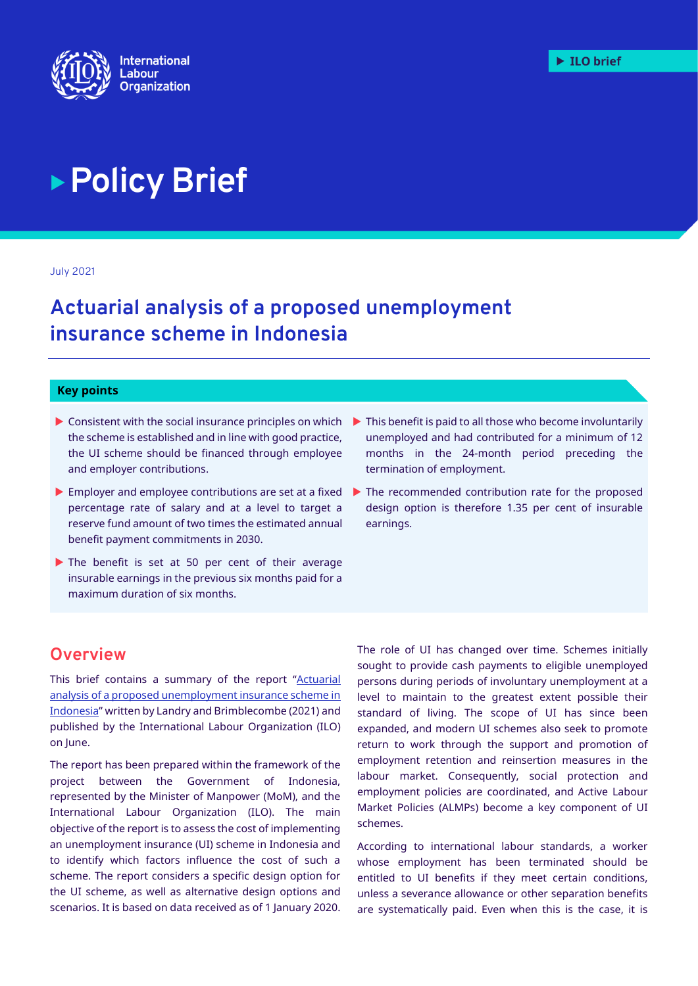

# **Policy Brief**

July 2021

# **Actuarial analysis of a proposed unemployment insurance scheme in Indonesia**

#### **Key points**

- $\triangleright$  Consistent with the social insurance principles on which the scheme is established and in line with good practice, the UI scheme should be financed through employee and employer contributions.
- **Employer and employee contributions are set at a fixed** percentage rate of salary and at a level to target a reserve fund amount of two times the estimated annual benefit payment commitments in 2030.
- The benefit is set at 50 per cent of their average insurable earnings in the previous six months paid for a maximum duration of six months.
- $\blacktriangleright$  This benefit is paid to all those who become involuntarily unemployed and had contributed for a minimum of 12 months in the 24-month period preceding the termination of employment.
- $\blacktriangleright$  The recommended contribution rate for the proposed design option is therefore 1.35 per cent of insurable earnings.

## **Overview**

This brief contains a summary of the report "Actuarial [analysis of a proposed unemployment insurance scheme in](https://www.ilo.org/jakarta/whatwedo/publications/WCMS_806432/lang--en/index.htm)  [Indonesia](https://www.ilo.org/jakarta/whatwedo/publications/WCMS_806432/lang--en/index.htm)" written by Landry and Brimblecombe (2021) and published by the International Labour Organization (ILO) on June.

The report has been prepared within the framework of the project between the Government of Indonesia, represented by the Minister of Manpower (MoM), and the International Labour Organization (ILO). The main objective of the report is to assess the cost of implementing an unemployment insurance (UI) scheme in Indonesia and to identify which factors influence the cost of such a scheme. The report considers a specific design option for the UI scheme, as well as alternative design options and scenarios. It is based on data received as of 1 January 2020.

The role of UI has changed over time. Schemes initially sought to provide cash payments to eligible unemployed persons during periods of involuntary unemployment at a level to maintain to the greatest extent possible their standard of living. The scope of UI has since been expanded, and modern UI schemes also seek to promote return to work through the support and promotion of employment retention and reinsertion measures in the labour market. Consequently, social protection and employment policies are coordinated, and Active Labour Market Policies (ALMPs) become a key component of UI schemes.

According to international labour standards, a worker whose employment has been terminated should be entitled to UI benefits if they meet certain conditions, unless a severance allowance or other separation benefits are systematically paid. Even when this is the case, it is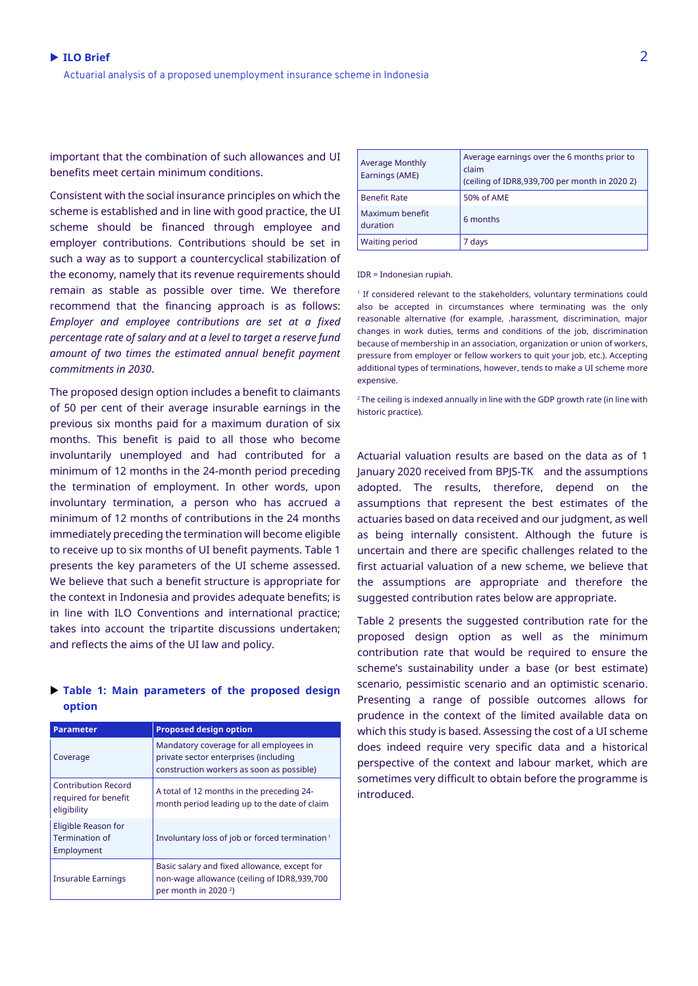important that the combination of such allowances and UI benefits meet certain minimum conditions.

Consistent with the social insurance principles on which the scheme is established and in line with good practice, the UI scheme should be financed through employee and employer contributions. Contributions should be set in such a way as to support a countercyclical stabilization of the economy, namely that its revenue requirements should remain as stable as possible over time. We therefore recommend that the financing approach is as follows: *Employer and employee contributions are set at a fixed percentage rate of salary and at a level to target a reserve fund amount of two times the estimated annual benefit payment commitments in 2030*.

The proposed design option includes a benefit to claimants of 50 per cent of their average insurable earnings in the previous six months paid for a maximum duration of six months. This benefit is paid to all those who become involuntarily unemployed and had contributed for a minimum of 12 months in the 24-month period preceding the termination of employment. In other words, upon involuntary termination, a person who has accrued a minimum of 12 months of contributions in the 24 months immediately preceding the termination will become eligible to receive up to six months of UI benefit payments. Table 1 presents the key parameters of the UI scheme assessed. We believe that such a benefit structure is appropriate for the context in Indonesia and provides adequate benefits; is in line with ILO Conventions and international practice; takes into account the tripartite discussions undertaken; and reflects the aims of the UI law and policy.

#### **Table 1: Main parameters of the proposed design option**

| <b>Parameter</b>                                                  | <b>Proposed design option</b>                                                                                                 |
|-------------------------------------------------------------------|-------------------------------------------------------------------------------------------------------------------------------|
| Coverage                                                          | Mandatory coverage for all employees in<br>private sector enterprises (including<br>construction workers as soon as possible) |
| <b>Contribution Record</b><br>required for benefit<br>eligibility | A total of 12 months in the preceding 24-<br>month period leading up to the date of claim                                     |
| Eligible Reason for<br>Termination of<br>Employment               | Involuntary loss of job or forced termination <sup>1</sup>                                                                    |
| <b>Insurable Earnings</b>                                         | Basic salary and fixed allowance, except for<br>non-wage allowance (ceiling of IDR8,939,700<br>per month in 2020 $2$ )        |

| <b>Average Monthly</b><br>Earnings (AME) | Average earnings over the 6 months prior to<br>claim<br>(ceiling of IDR8,939,700 per month in 2020 2) |
|------------------------------------------|-------------------------------------------------------------------------------------------------------|
| <b>Benefit Rate</b>                      | 50% of AME                                                                                            |
| Maximum benefit<br>duration              | 6 months                                                                                              |
| <b>Waiting period</b>                    | 7 days                                                                                                |

IDR = Indonesian rupiah.

<sup>1</sup> If considered relevant to the stakeholders, voluntary terminations could also be accepted in circumstances where terminating was the only reasonable alternative (for example, .harassment, discrimination, major changes in work duties, terms and conditions of the job, discrimination because of membership in an association, organization or union of workers, pressure from employer or fellow workers to quit your job, etc.). Accepting additional types of terminations, however, tends to make a UI scheme more expensive.

<sup>2</sup>The ceiling is indexed annually in line with the GDP growth rate (in line with historic practice).

Actuarial valuation results are based on the data as of 1 January 2020 received from BPJS-TK and the assumptions adopted. The results, therefore, depend on the assumptions that represent the best estimates of the actuaries based on data received and our judgment, as well as being internally consistent. Although the future is uncertain and there are specific challenges related to the first actuarial valuation of a new scheme, we believe that the assumptions are appropriate and therefore the suggested contribution rates below are appropriate.

Table 2 presents the suggested contribution rate for the proposed design option as well as the minimum contribution rate that would be required to ensure the scheme's sustainability under a base (or best estimate) scenario, pessimistic scenario and an optimistic scenario. Presenting a range of possible outcomes allows for prudence in the context of the limited available data on which this study is based. Assessing the cost of a UI scheme does indeed require very specific data and a historical perspective of the context and labour market, which are sometimes very difficult to obtain before the programme is introduced.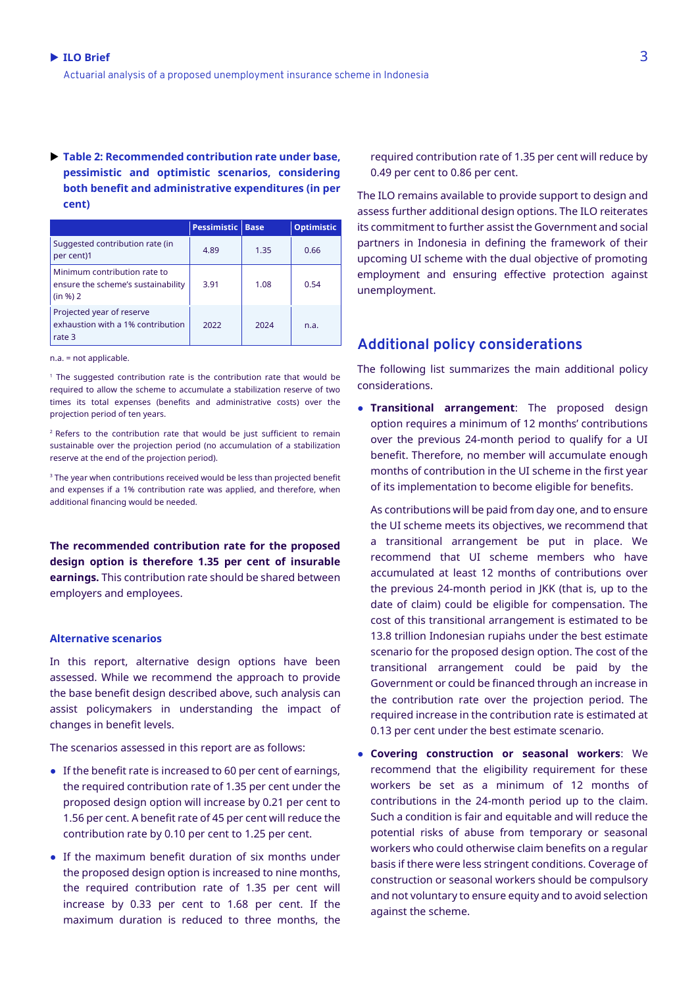**Table 2: Recommended contribution rate under base, pessimistic and optimistic scenarios, considering both benefit and administrative expenditures (in per cent)**

|                                                                                | <b>Pessimistic</b> | <b>Base</b> | <b>Optimistic</b> |
|--------------------------------------------------------------------------------|--------------------|-------------|-------------------|
| Suggested contribution rate (in<br>per cent)1                                  | 4.89               | 1.35        | 0.66              |
| Minimum contribution rate to<br>ensure the scheme's sustainability<br>(in %) 2 | 3.91               | 1.08        | 0.54              |
| Projected year of reserve<br>exhaustion with a 1% contribution<br>rate 3       | 2022               | 2024        | n.a.              |

n.a. = not applicable.

<sup>1</sup> The suggested contribution rate is the contribution rate that would be required to allow the scheme to accumulate a stabilization reserve of two times its total expenses (benefits and administrative costs) over the projection period of ten years.

 $2$  Refers to the contribution rate that would be just sufficient to remain sustainable over the projection period (no accumulation of a stabilization reserve at the end of the projection period).

 $3$  The year when contributions received would be less than projected benefit and expenses if a 1% contribution rate was applied, and therefore, when additional financing would be needed.

**The recommended contribution rate for the proposed design option is therefore 1.35 per cent of insurable earnings.** This contribution rate should be shared between employers and employees.

#### **Alternative scenarios**

In this report, alternative design options have been assessed. While we recommend the approach to provide the base benefit design described above, such analysis can assist policymakers in understanding the impact of changes in benefit levels.

The scenarios assessed in this report are as follows:

- If the benefit rate is increased to 60 per cent of earnings, the required contribution rate of 1.35 per cent under the proposed design option will increase by 0.21 per cent to 1.56 per cent. A benefit rate of 45 per cent will reduce the contribution rate by 0.10 per cent to 1.25 per cent.
- If the maximum benefit duration of six months under the proposed design option is increased to nine months, the required contribution rate of 1.35 per cent will increase by 0.33 per cent to 1.68 per cent. If the maximum duration is reduced to three months, the

required contribution rate of 1.35 per cent will reduce by 0.49 per cent to 0.86 per cent.

The ILO remains available to provide support to design and assess further additional design options. The ILO reiterates its commitment to further assist the Government and social partners in Indonesia in defining the framework of their upcoming UI scheme with the dual objective of promoting employment and ensuring effective protection against unemployment.

### **Additional policy considerations**

The following list summarizes the main additional policy considerations.

● **Transitional arrangement**: The proposed design option requires a minimum of 12 months' contributions over the previous 24-month period to qualify for a UI benefit. Therefore, no member will accumulate enough months of contribution in the UI scheme in the first year of its implementation to become eligible for benefits.

As contributions will be paid from day one, and to ensure the UI scheme meets its objectives, we recommend that a transitional arrangement be put in place. We recommend that UI scheme members who have accumulated at least 12 months of contributions over the previous 24-month period in JKK (that is, up to the date of claim) could be eligible for compensation. The cost of this transitional arrangement is estimated to be 13.8 trillion Indonesian rupiahs under the best estimate scenario for the proposed design option. The cost of the transitional arrangement could be paid by the Government or could be financed through an increase in the contribution rate over the projection period. The required increase in the contribution rate is estimated at 0.13 per cent under the best estimate scenario.

● **Covering construction or seasonal workers**: We recommend that the eligibility requirement for these workers be set as a minimum of 12 months of contributions in the 24-month period up to the claim. Such a condition is fair and equitable and will reduce the potential risks of abuse from temporary or seasonal workers who could otherwise claim benefits on a regular basis if there were less stringent conditions. Coverage of construction or seasonal workers should be compulsory and not voluntary to ensure equity and to avoid selection against the scheme.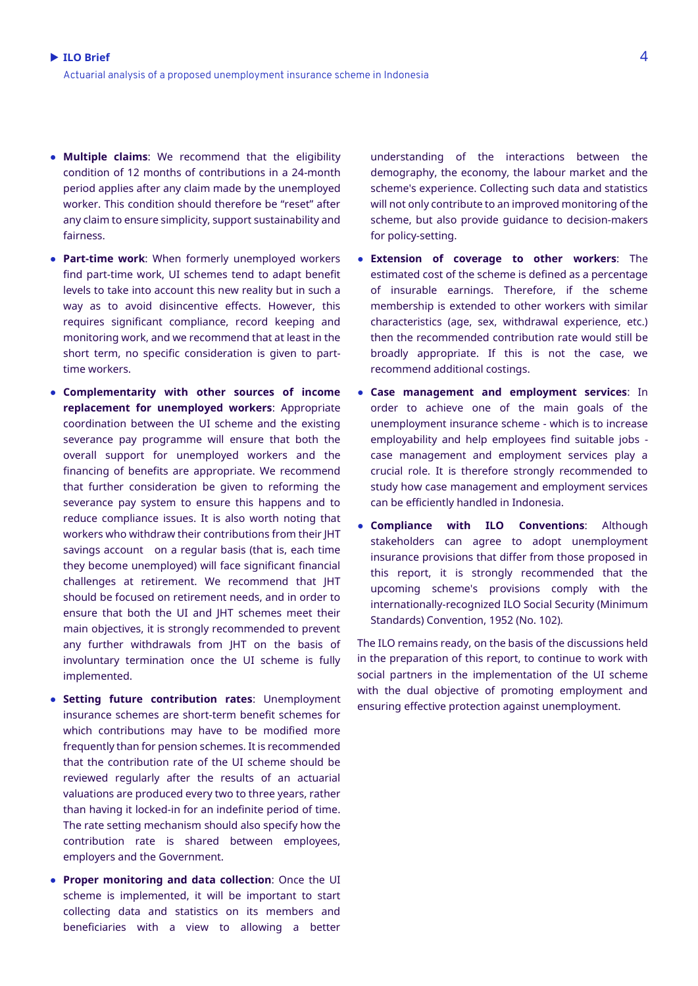- **Multiple claims**: We recommend that the eligibility condition of 12 months of contributions in a 24-month period applies after any claim made by the unemployed worker. This condition should therefore be "reset" after any claim to ensure simplicity, support sustainability and fairness.
- **Part-time work**: When formerly unemployed workers find part-time work, UI schemes tend to adapt benefit levels to take into account this new reality but in such a way as to avoid disincentive effects. However, this requires significant compliance, record keeping and monitoring work, and we recommend that at least in the short term, no specific consideration is given to parttime workers.
- **Complementarity with other sources of income replacement for unemployed workers**: Appropriate coordination between the UI scheme and the existing severance pay programme will ensure that both the overall support for unemployed workers and the financing of benefits are appropriate. We recommend that further consideration be given to reforming the severance pay system to ensure this happens and to reduce compliance issues. It is also worth noting that workers who withdraw their contributions from their JHT savings account on a regular basis (that is, each time they become unemployed) will face significant financial challenges at retirement. We recommend that JHT should be focused on retirement needs, and in order to ensure that both the UI and JHT schemes meet their main objectives, it is strongly recommended to prevent any further withdrawals from JHT on the basis of involuntary termination once the UI scheme is fully implemented.
- **Setting future contribution rates**: Unemployment insurance schemes are short-term benefit schemes for which contributions may have to be modified more frequently than for pension schemes. It is recommended that the contribution rate of the UI scheme should be reviewed regularly after the results of an actuarial valuations are produced every two to three years, rather than having it locked-in for an indefinite period of time. The rate setting mechanism should also specify how the contribution rate is shared between employees, employers and the Government.
- **Proper monitoring and data collection**: Once the UI scheme is implemented, it will be important to start collecting data and statistics on its members and beneficiaries with a view to allowing a better

understanding of the interactions between the demography, the economy, the labour market and the scheme's experience. Collecting such data and statistics will not only contribute to an improved monitoring of the scheme, but also provide guidance to decision-makers for policy-setting.

- **Extension of coverage to other workers**: The estimated cost of the scheme is defined as a percentage of insurable earnings. Therefore, if the scheme membership is extended to other workers with similar characteristics (age, sex, withdrawal experience, etc.) then the recommended contribution rate would still be broadly appropriate. If this is not the case, we recommend additional costings.
- **Case management and employment services**: In order to achieve one of the main goals of the unemployment insurance scheme - which is to increase employability and help employees find suitable jobs case management and employment services play a crucial role. It is therefore strongly recommended to study how case management and employment services can be efficiently handled in Indonesia.
- **Compliance with ILO Conventions**: Although stakeholders can agree to adopt unemployment insurance provisions that differ from those proposed in this report, it is strongly recommended that the upcoming scheme's provisions comply with the internationally-recognized ILO Social Security (Minimum Standards) Convention, 1952 (No. 102).

The ILO remains ready, on the basis of the discussions held in the preparation of this report, to continue to work with social partners in the implementation of the UI scheme with the dual objective of promoting employment and ensuring effective protection against unemployment.